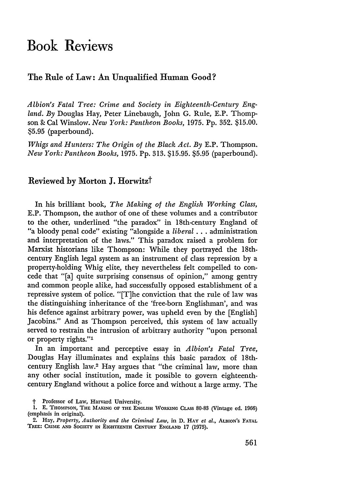## **Book Reviews**

## The Rule of Law: An Unqualified Human Good?

*Albion's Fatal Tree: Crime and Society in Eighteenth-Century England. By* Douglas Hay, Peter Linebaugh, John G. Rule, E.P. Thompson g: Cal Winslow. *New York: Pantheon Books,* 1975. Pp. 352. \$15.00. **\$5.95** (paperbound).

*Whigs and Hunters: The Origin of the Black Act. By* E.P. Thompson. *New York: Pantheon Books,* 1975. Pp. 313. \$15.95. \$5.95 (paperbound).

## Reviewed by Morton J. Horwitzt

In his brilliant book, *The Making of the English Working Class,* E.P. Thompson, the author of one of these volumes and a contributor to the other, underlined "the paradox" in 18th-century England of "a bloody penal code" existing "alongside a *liberal* **...** administration and interpretation of the laws." This paradox raised a problem for Marxist historians like Thompson: While they portrayed the 18thcentury English legal system as an instrument of class repression by a property-holding Whig elite, they nevertheless felt compelled to concede that "[a] quite surprising consensus of opinion," among gentry and common people alike, had successfully opposed establishment of a repressive system of police. "[T]he conviction that the rule of law was the distinguishing inheritance of the 'free-born Englishman', and was his defence against arbitrary power, was upheld even by the [English] Jacobins." And as Thompson perceived, this system of law actually served to restrain the intrusion of arbitrary authority "upon personal or property rights."

In an important and perceptive essay in *Albion's Fatal Tree,* Douglas Hay illuminates and explains this basic paradox of 18thcentury English law.2 Hay argues that "the criminal law, more than any other social institution, made it possible to govern eighteenthcentury England without a police force and without a large army. The

t Professor of Law, Harvard University.

**<sup>1.</sup> E.** THOMPSON, THE **MAKING** OF **THE ENGLISH WORKING CLASS 80-83** (Vintage **ed. 1966)** (emphasis in original).

**<sup>2.</sup>** Hay, *Property, Authority and the Criminal Law,* in **D. HAY** *et al.,* **ALBION'S FATAL TREE: CRIME AND SOCIETY IN EIGHTEENTH CENTURY ENGLAND 17 (1975).**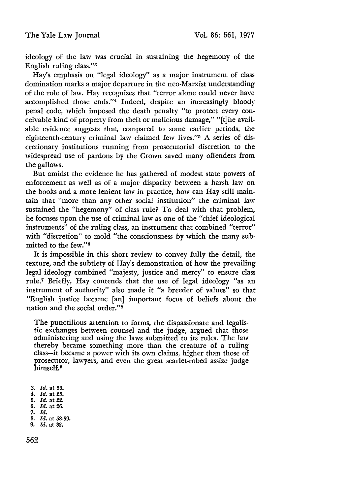ideology of the law was crucial in sustaining the hegemony of the English ruling class."

Hay's emphasis on "legal ideology" as a major instrument of class domination marks a major departure in the neo-Marxist understanding of the role of law. Hay recognizes that "terror alone could never have accomplished those ends."<sup>4</sup> Indeed, despite an increasingly bloody penal code, which imposed the death penalty "to protect every conceivable kind of property from theft or malicious damage," "[t]he available evidence suggests that, compared to some earlier periods, the eighteenth-century criminal law claimed few lives."' **A** series of discretionary institutions running from prosecutorial discretion to the widespread use of pardons by the Crown saved many offenders from the gallows.

But amidst the evidence he has gathered of modest state powers of enforcement as well as of a major disparity between a harsh law on the books and a more lenient law in practice, how can Hay still maintain that "more than any other social institution" the criminal law sustained the "hegemony" of class rule? To deal with that problem, he focuses upon the use of criminal law as one of the "chief ideological instruments" of the ruling class, an instrument that combined "terror" with "discretion" to mold "the consciousness by which the many submitted to the few."<sup>6</sup>

It is impossible in this short review to convey fully the detail, the texture, and the subtlety of Hay's demonstration of how the prevailing legal ideology combined "majesty, justice and mercy" to ensure class rule.7 Briefly, Hay contends that the use of legal ideology "as an instrument of authority" also made it "a breeder of values" so that "English justice became [an] important focus of beliefs about the nation and the social order."<sup>8</sup>

The punctilious attention to forms, the dispassionate and legalistic exchanges between counsel and the judge, argued that those administering and using the laws submitted to its rules. The law thereby became something more than the creature of a ruling class-it became a power with its own claims, higher than those of prosecutor, lawyers, and even the great scarlet-robed assize judge himself.9

- *3. Id.* at **56.**
- 4. *Id.* at 25.
- *5. Id.* at 22.
- *6. Id.* at 26.
- *7. Id.*
- **8.** *Id.* at **58-59.** *9. Id.* at **35.**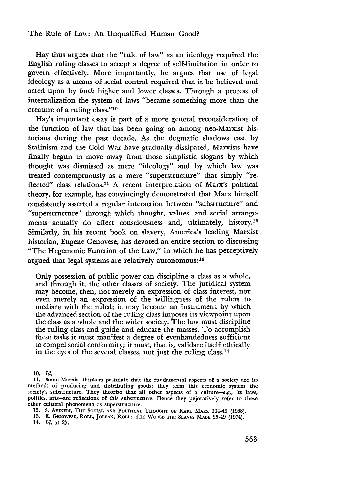Hay thus argues that the "rule of law" as an ideology required the English ruling classes to accept a degree of self-limitation in order to govern effectively. More importantly, he argues that use of legal ideology as a means of social control required that it be believed and acted upon by *both* higher and lower classes. Through a process of internalization the system of laws "became something more than the creature of a ruling class."'10

Hay's important essay is part of a more general reconsideration of the function of law that has been going on among neo-Marxist historians during the past decade. As the dogmatic shadows cast by Stalinism and the Cold War have gradually dissipated, Marxists have finally begun to move away from those simplistic slogans by which thought was dismissed as mere "ideology" and by which law was treated contemptuously as a mere "superstructure" that simply "reflected" class relations.<sup>11</sup> A recent interpretation of Marx's political theory, for example, has convincingly demonstrated that Marx himself consistently asserted a regular interaction between "substructure" and "superstructure" through which thought, values, and social arrangements actually do affect consciousness and, ultimately, history.<sup>12</sup> Similarly, in his recent book on slavery, America's leading Marxist historian, Eugene Genovese, has devoted an entire section to discussing "The Hegemonic Function of the Law," in which he has perceptively argued that legal systems are relatively autonomous: $13$ 

Only possession of public power can discipline a class as a whole, and through it, the other classes of society. The juridical system may become, then, not merely an expression of class interest, nor even merely an expression of the willingness of the rulers to mediate with the ruled; it may become an instrument by which the advanced section of the ruling class imposes its viewpoint upon the class as a whole and the wider society. The law must discipline the ruling class and guide and educate the masses. To accomplish these tasks it must manifest a degree of evenhandedness sufficient to compel social conformity; it must, that is, validate itself ethically in the eyes of the several classes, not just the ruling class.<sup>14</sup>

*10. Id.*

<sup>11.</sup> Some Marxist thinkers postulate that the fundamental aspects of a society are its methods of producing and distributing goods; they term this economic system the society's substructure. They theorize that all other aspects of a culture-e.g., its laws, politics, arts-are reflections of this substructure. Hence they pejoratively refer to these other cultural phenomena as superstructure.

<sup>12.</sup> **S. AVINERI, THE SOCIAL AND POLITICAL THOUGHT OF KARL MARX** 134-49 **(1968).**

**<sup>13.</sup> E. GENOVESE, ROLL, JORDAN, ROLL: THE WORLD THE SLAVES MADE** 25-49 (1974). 14. *Id.* **at 27.**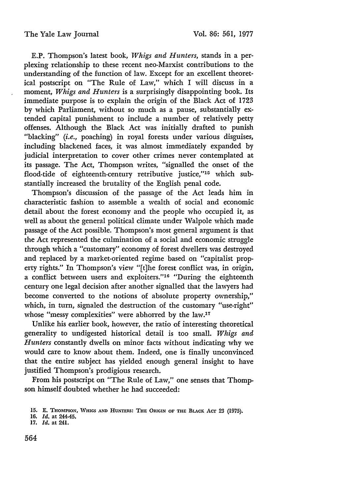E.P. Thompson's latest book, *Whigs and Hunters,* stands in a perplexing relationship to these recent neo-Marxist contributions to the understanding of the function of law. Except for an excellent theoretical postscript on "The Rule of Law," which I will discuss in a moment, *Whigs and Hunters* is a surprisingly disappointing book. Its immediate purpose is to explain the origin of the Black Act of 1723 by which Parliament, without so much as a pause, substantially **ex**tended capital punishment to include a number of relatively petty offenses. Although the Black Act was initially drafted to punish "blacking" *(i.e.,* poaching) in royal forests under various disguises, including blackened faces, it was almost immediately expanded by judicial interpretation to cover other crimes never contemplated at its passage. The Act, Thompson writes, "signalled the onset of the flood-tide of eighteenth-century retributive justice,"<sup>15</sup> which substantially increased the brutality of the English penal code.

Thompson's discussion of the passage of the Act leads him in characteristic fashion to assemble a wealth of social and economic detail about the forest economy and the people who occupied it, as well as about the general political climate under Walpole which made passage of the Act possible. Thompson's most general argument is that the Act represented the culmination of a social and economic struggle through which a "customary" economy of forest dwellers was destroyed and replaced by a market-oriented regime based on "capitalist property rights." In Thompson's view "[t]he forest conflict was, in origin, a conflict between users and exploiters."'16 "During the eighteenth century one legal decision after another signalled that the lawyers had become converted to the notions of absolute property ownership," which, in turn, signaled the destruction of the customary "use-right" whose "messy complexities" were abhorred by the law. $17$ 

Unlike his earlier book, however, the ratio of interesting theoretical generality to undigested historical detail is too small. *Whigs and Hunters* constantly dwells on minor facts without indicating why we would care to know about them. Indeed, one is finally unconvinced that the entire subject has yielded enough general insight to have justified Thompson's prodigious research.

From his postscript on "The Rule of Law," one senses that Thompson himself doubted whether he had succeeded:

**<sup>15.</sup> E. THOMPSON, WHIGS AND HUNTERS: THE** ORIGIN **OF THE BLACK ACT 23 (1975).**

**<sup>16.</sup>** *Id.* **at 244-45.**

**<sup>17.</sup>** *Id.* **at** 241.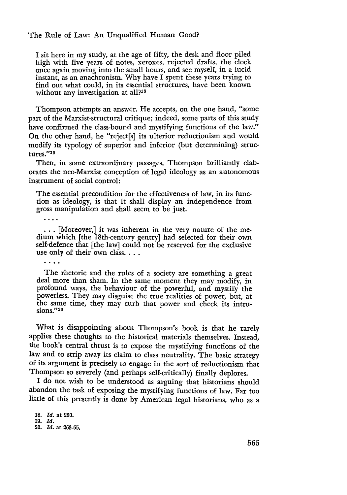## The Rule of Law: An Unqualified Human Good?

I sit here in my study, at the age of fifty, the desk and floor piled high with five years of notes, xeroxes, rejected drafts, the clock once again moving into the small hours, and see myself, in a lucid instant, as an anachronism. Why have I spent these years trying to find out what could, in its essential structures, have been known without any investigation at all?<sup>18</sup>

Thompson attempts an answer. He accepts, on the one hand, "some part of the Marxist-structural critique; indeed, some parts of this study have confirmed the class-bound and mystifying functions of the law." On the other hand, he "reject[s] its ulterior reductionism and would modify its typology of superior and inferior (but determining) structures."<sup>19</sup>

Then, in some extraordinary passages, Thompson brilliantly elaborates the neo-Marxist conception of legal ideology as an autonomous instrument of social control:

The essential precondition for the effectiveness of law, in its function as ideology, is that it shall display an independence from gross manipulation and shall seem to be just.

 $\cdots$ 

**...** [Moreover,] it was inherent in the very nature of the medium which [the 18th-century gentry] had selected for their own self-defence that [the law] could not be reserved for the exclusive use only of their own class. **...**

 $\cdots$ 

The rhetoric and the rules of a society are something a great deal more than sham. In the same moment they may modify, in profound ways, the behaviour of the powerful, and mystify the powerless. They may disguise the true realities of power, but, at the same time, they may curb that power and check its intrusions."<sup>20</sup>

What is disappointing about Thompson's book is that he rarely applies these thoughts to the historical materials themselves. Instead, the book's central thrust is to expose the mystifying functions of the law and to strip away its claim to class neutrality. The basic strategy of its argument is precisely to engage in the sort of reductionism that Thompson so severely (and perhaps self-critically) finally deplores.

I do not wish to be understood as arguing that historians should abandon the task of exposing the mystifying functions of law. Far too little of this presently is done by American legal historians, who as a

18. *Id.* at **260.**

**19.** *Id.* 20. *Id.* at **263-65.**